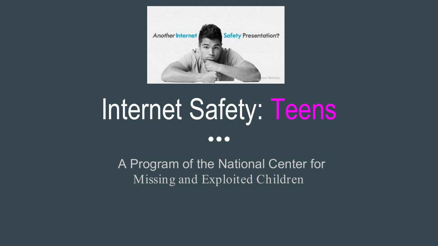

## Internet Safety: Teens

#### $\bullet\bullet\bullet$

A Program of the National Center for Missing and Exploited Children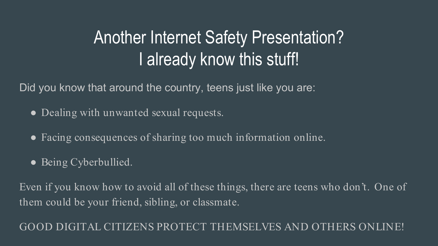## Another Internet Safety Presentation? I already know this stuff!

Did you know that around the country, teens just like you are:

- Dealing with unwanted sexual requests.
- Facing consequences of sharing too much information online.
- Being Cyberbullied.

Even if you know how to avoid all of these things, there are teens who don't. One of them could be your friend, sibling, or classmate.

GOOD DIGITAL CITIZENS PROTECT THEMSELVES AND OTHERS ONI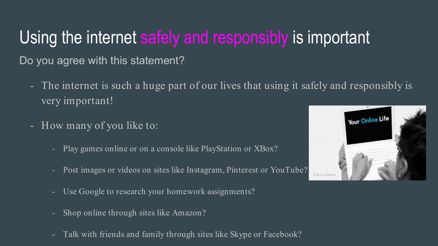### Using the internet safely and responsibly is important

Do you agree with this statement?

- The internet is such a huge part of our lives that using it safely and responsibly is very important!
- How many of you like to:
	- Play games online or on a console like PlayStation or XBox?
	- Post images or videos on sites like Instagram, Pinterest or YouTube?
	- Use Google to research your homework assignments?
	- Shop online through sites like Amazon?
	- Talk with friends and family through sites like Skype or Facebook?

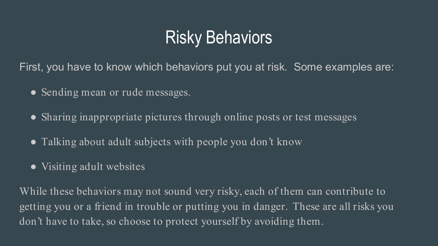### Risky Behaviors

First, you have to know which behaviors put you at risk. Some examples are:

- Sending mean or rude messages.
- Sharing inappropriate pictures through online posts or test messages
- Talking about adult subjects with people you don't know
- Visiting adult websites

While these behaviors may not sound very risky, each of them can contribute to getting you or a friend in trouble or putting you in danger. These are all risks you don't have to take, so choose to protect yourself by avoiding them.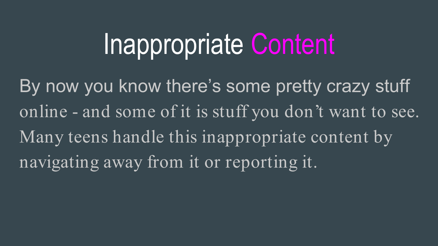## Inappropriate Content

By now you know there's some pretty crazy stuff online - and some of it is stuff you don't want to see. Many teens handle this inappropriate content by navigating away from it or reporting it.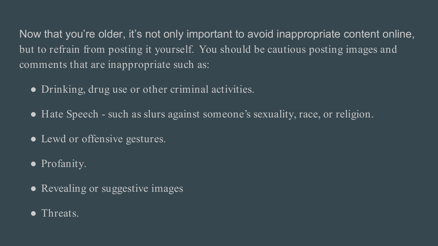Now that you're older, it's not only important to avoid inappropriate content online, but to refrain from posting it yourself. You should be cautious posting images and comments that are inappropriate such as:

- Drinking, drug use or other criminal activities.
- Hate Speech such as slurs against someone's sexuality, race, or religion.
- Lewd or offensive gestures.
- Profanity.
- Revealing or suggestive images
- Threats.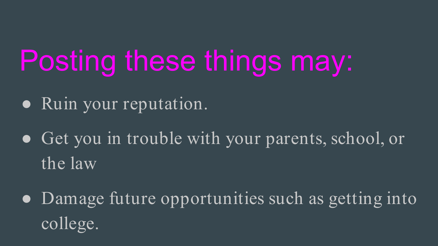## Posting these things may:

- Ruin your reputation.
- Get you in trouble with your parents, school, or the law
- Damage future opportunities such as getting into college.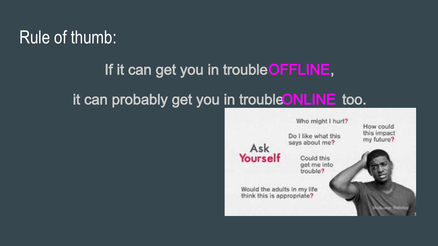### Rule of thumb:

## If it can get you in trouble OFFLINE, it can probably get you in trouble ONLINE too.

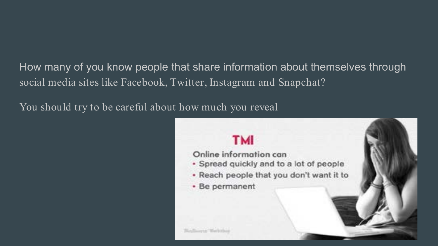How many of you know people that share information about themselves through social media sites like Facebook, Twitter, Instagram and Snapchat?

You should try to be careful about how much you reveal

#### **TMI**

Online information can

- · Spread quickly and to a lot of people
- . Reach people that you don't want it to
- · Be permanent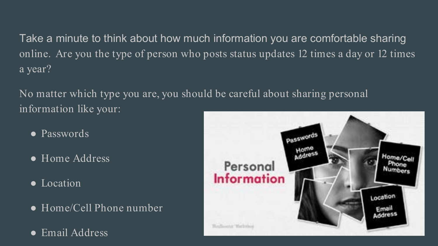Take a minute to think about how much information you are comfortable sharing online. Are you the type of person who posts status updates 12 times a day or 12 times a year?

No matter which type you are, you should be careful about sharing personal information like your:

- Passwords
- Home Address
- Location
- Home/Cell Phone number
- Email Address

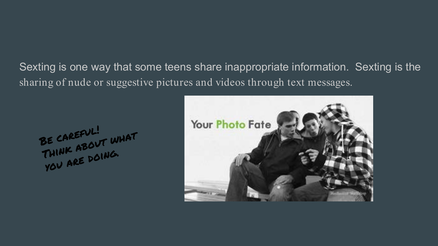Sexting is one way that some teens share inappropriate information. Sexting is the sharing of nude or suggestive pictures and videos through text messages.

BE CAREFUL!<br>THINK ABOUT WHAT THINK ABOUT

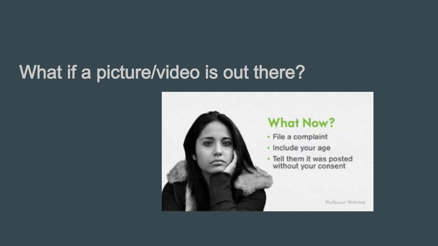## What if a picture/video is out there?

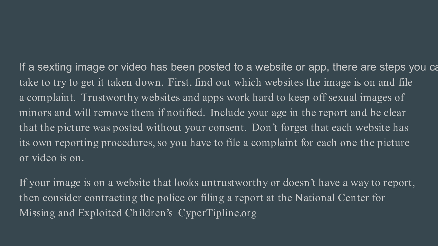If a sexting image or video has been posted to a website or app, there are steps you ca take to try to get it taken down. First, find out which websites the image is on and file a complaint. Trustworthy websites and apps work hard to keep off sexual images of minors and will remove them if notified. Include your age in the report and be clear that the picture was posted without your consent. Don't forget that each website has its own reporting procedures, so you have to file a complaint for each one the picture or video is on.

If your image is on a website that looks untrustworthy or doesn't have a way to report, then consider contracting the police or filing a report at the National Center for Missing and Exploited Children's CyperTipline.org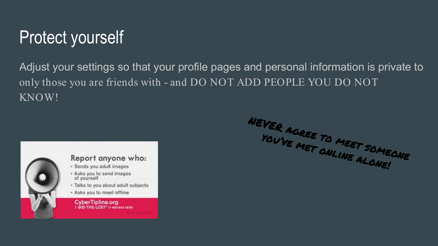## Protect yourself

Adjust your settings so that your profile pages and personal information is private to only those you are friends with - and DO NOT ADD PEOPLE YOU DO NOT KNOW!



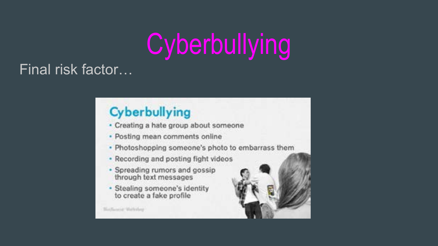## **Cyberbullying**

#### Final risk factor…

### Cyberbullying

- · Creating a hate group about someone
- · Posting mean comments online
- · Photoshopping someone's photo to embarrass them
- · Recording and posting fight videos
- · Spreading rumors and gossip through text messages
- · Stealing someone's identity to create a fake profile

**MacRossia** Walterlay

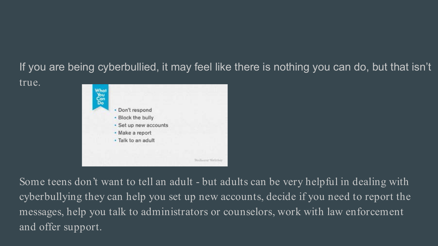#### If you are being cyberbullied, it may feel like there is nothing you can do, but that isn't



true.

Some teens don't want to tell an adult - but adults can be very helpful in dealing with cyberbullying they can help you set up new accounts, decide if you need to report the messages, help you talk to administrators or counselors, work with law enforcement and offer support.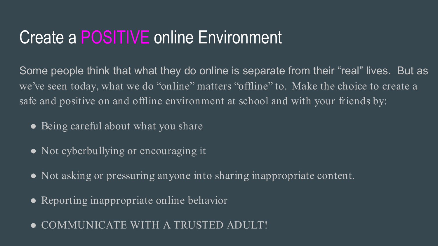### Create a POSITIVE online Environment

Some people think that what they do online is separate from their "real" lives. But as we've seen today, what we do "online" matters "offline" to. Make the choice to create a safe and positive on and offline environment at school and with your friends by:

- Being careful about what you share
- Not cyberbullying or encouraging it
- Not asking or pressuring anyone into sharing inappropriate content.
- Reporting inappropriate online behavior
- COMMUNICATE WITH A TRUSTED ADULT!